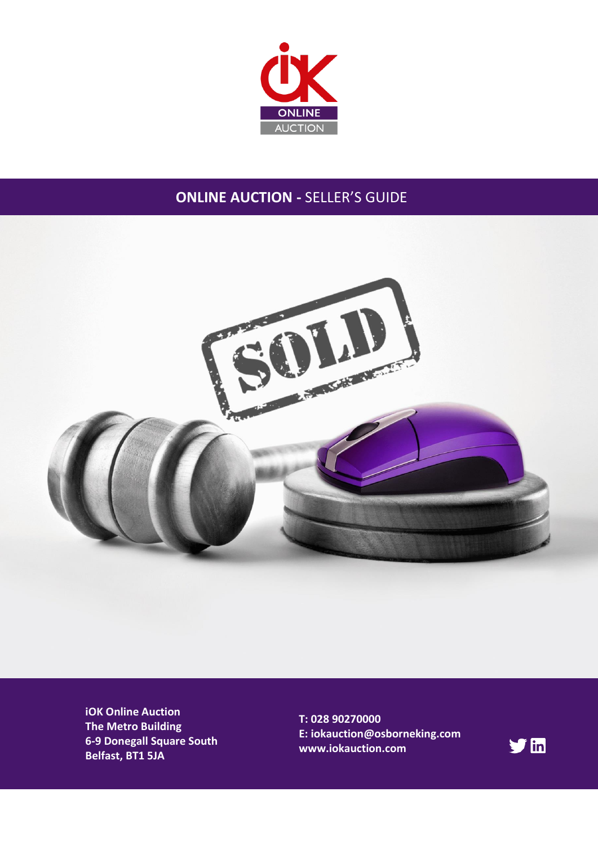

## **ONLINE AUCTION -** SELLER'S GUIDE



**iOK Online Auction The Metro Building 6-9 Donegall Square South Belfast, BT1 5JA**

**T: 028 90270000 E: iokauction@osborneking.com www.iokauction.com**